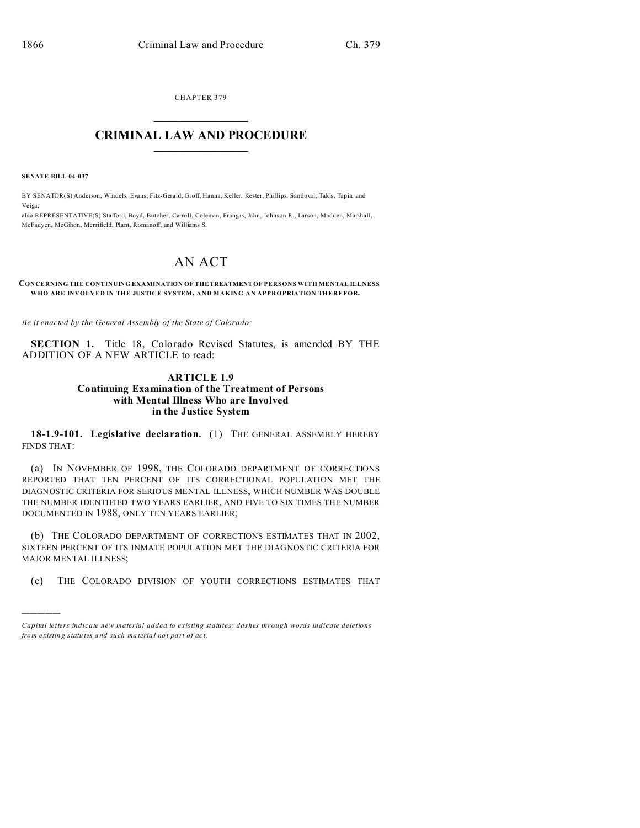CHAPTER 379  $\overline{\phantom{a}}$  , where  $\overline{\phantom{a}}$ 

## **CRIMINAL LAW AND PROCEDURE**  $\_$   $\_$   $\_$   $\_$   $\_$   $\_$   $\_$   $\_$   $\_$

**SENATE BILL 04-037**

)))))

BY SENATOR(S) Anderson, Windels, Evans, Fitz-Gerald, Groff, Hanna, Keller, Kester, Phillips, Sandoval, Takis, Tapia, and Veiga;

also REPRESENTATIVE(S) Stafford, Boyd, Butcher, Carroll, Coleman, Frangas, Jahn, Johnson R., Larson, Madden, Marshall, McFadyen, McGihon, Merrifield, Plant, Romanoff, and Williams S.

## AN ACT

## **CONCERNING THE CONTINUING EXAMINATION OF THETREATMENTOF PERSONS WITH MENTAL ILLNESS WHO ARE INVOLVED IN THE JUSTICE SYSTEM, AND MAKING AN APPROPRIATION THEREFOR.**

*Be it enacted by the General Assembly of the State of Colorado:*

**SECTION 1.** Title 18, Colorado Revised Statutes, is amended BY THE ADDITION OF A NEW ARTICLE to read:

## **ARTICLE 1.9 Continuing Examination of the Treatment of Persons with Mental Illness Who are Involved in the Justice System**

**18-1.9-101. Legislative declaration.** (1) THE GENERAL ASSEMBLY HEREBY FINDS THAT:

(a) IN NOVEMBER OF 1998, THE COLORADO DEPARTMENT OF CORRECTIONS REPORTED THAT TEN PERCENT OF ITS CORRECTIONAL POPULATION MET THE DIAGNOSTIC CRITERIA FOR SERIOUS MENTAL ILLNESS, WHICH NUMBER WAS DOUBLE THE NUMBER IDENTIFIED TWO YEARS EARLIER, AND FIVE TO SIX TIMES THE NUMBER DOCUMENTED IN 1988, ONLY TEN YEARS EARLIER;

(b) THE COLORADO DEPARTMENT OF CORRECTIONS ESTIMATES THAT IN 2002, SIXTEEN PERCENT OF ITS INMATE POPULATION MET THE DIAGNOSTIC CRITERIA FOR MAJOR MENTAL ILLNESS;

(c) THE COLORADO DIVISION OF YOUTH CORRECTIONS ESTIMATES THAT

*Capital letters indicate new material added to existing statutes; dashes through words indicate deletions from e xistin g statu tes a nd such ma teria l no t pa rt of ac t.*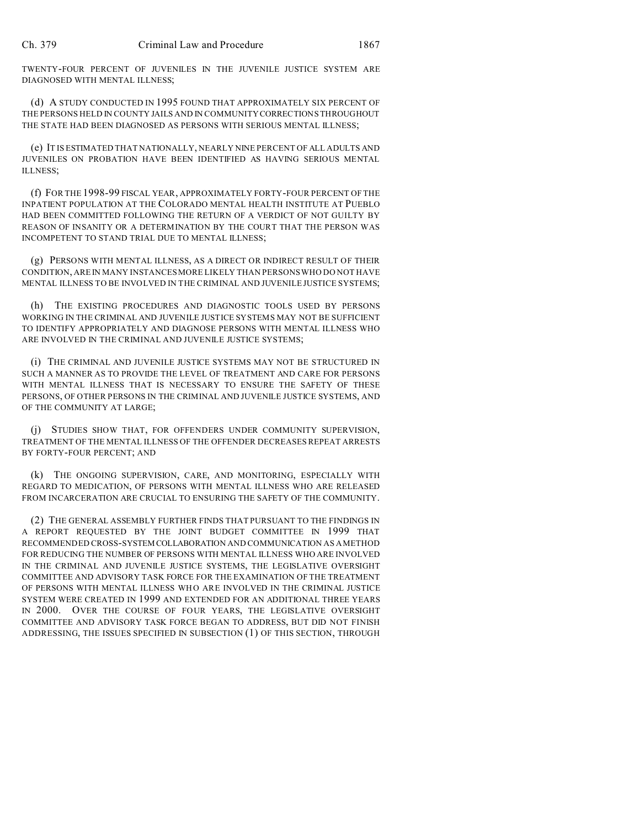TWENTY-FOUR PERCENT OF JUVENILES IN THE JUVENILE JUSTICE SYSTEM ARE DIAGNOSED WITH MENTAL ILLNESS;

(d) A STUDY CONDUCTED IN 1995 FOUND THAT APPROXIMATELY SIX PERCENT OF THE PERSONS HELD IN COUNTY JAILS AND IN COMMUNITY CORRECTIONS THROUGHOUT THE STATE HAD BEEN DIAGNOSED AS PERSONS WITH SERIOUS MENTAL ILLNESS;

(e) IT IS ESTIMATED THAT NATIONALLY, NEARLY NINE PERCENT OF ALL ADULTS AND JUVENILES ON PROBATION HAVE BEEN IDENTIFIED AS HAVING SERIOUS MENTAL ILLNESS;

(f) FOR THE 1998-99 FISCAL YEAR, APPROXIMATELY FORTY-FOUR PERCENT OF THE INPATIENT POPULATION AT THE COLORADO MENTAL HEALTH INSTITUTE AT PUEBLO HAD BEEN COMMITTED FOLLOWING THE RETURN OF A VERDICT OF NOT GUILTY BY REASON OF INSANITY OR A DETERMINATION BY THE COURT THAT THE PERSON WAS INCOMPETENT TO STAND TRIAL DUE TO MENTAL ILLNESS;

(g) PERSONS WITH MENTAL ILLNESS, AS A DIRECT OR INDIRECT RESULT OF THEIR CONDITION, ARE IN MANY INSTANCES MORE LIKELY THAN PERSONS WHO DO NOT HAVE MENTAL ILLNESS TO BE INVOLVED IN THE CRIMINAL AND JUVENILE JUSTICE SYSTEMS;

THE EXISTING PROCEDURES AND DIAGNOSTIC TOOLS USED BY PERSONS WORKING IN THE CRIMINAL AND JUVENILE JUSTICE SYSTEMS MAY NOT BE SUFFICIENT TO IDENTIFY APPROPRIATELY AND DIAGNOSE PERSONS WITH MENTAL ILLNESS WHO ARE INVOLVED IN THE CRIMINAL AND JUVENILE JUSTICE SYSTEMS;

(i) THE CRIMINAL AND JUVENILE JUSTICE SYSTEMS MAY NOT BE STRUCTURED IN SUCH A MANNER AS TO PROVIDE THE LEVEL OF TREATMENT AND CARE FOR PERSONS WITH MENTAL ILLNESS THAT IS NECESSARY TO ENSURE THE SAFETY OF THESE PERSONS, OF OTHER PERSONS IN THE CRIMINAL AND JUVENILE JUSTICE SYSTEMS, AND OF THE COMMUNITY AT LARGE;

(j) STUDIES SHOW THAT, FOR OFFENDERS UNDER COMMUNITY SUPERVISION, TREATMENT OF THE MENTAL ILLNESS OF THE OFFENDER DECREASES REPEAT ARRESTS BY FORTY-FOUR PERCENT; AND

(k) THE ONGOING SUPERVISION, CARE, AND MONITORING, ESPECIALLY WITH REGARD TO MEDICATION, OF PERSONS WITH MENTAL ILLNESS WHO ARE RELEASED FROM INCARCERATION ARE CRUCIAL TO ENSURING THE SAFETY OF THE COMMUNITY.

(2) THE GENERAL ASSEMBLY FURTHER FINDS THAT PURSUANT TO THE FINDINGS IN A REPORT REQUESTED BY THE JOINT BUDGET COMMITTEE IN 1999 THAT RECOMMENDED CROSS-SYSTEM COLLABORATION AND COMMUNICATION AS A METHOD FOR REDUCING THE NUMBER OF PERSONS WITH MENTAL ILLNESS WHO ARE INVOLVED IN THE CRIMINAL AND JUVENILE JUSTICE SYSTEMS, THE LEGISLATIVE OVERSIGHT COMMITTEE AND ADVISORY TASK FORCE FOR THE EXAMINATION OF THE TREATMENT OF PERSONS WITH MENTAL ILLNESS WHO ARE INVOLVED IN THE CRIMINAL JUSTICE SYSTEM WERE CREATED IN 1999 AND EXTENDED FOR AN ADDITIONAL THREE YEARS IN 2000. OVER THE COURSE OF FOUR YEARS, THE LEGISLATIVE OVERSIGHT COMMITTEE AND ADVISORY TASK FORCE BEGAN TO ADDRESS, BUT DID NOT FINISH ADDRESSING, THE ISSUES SPECIFIED IN SUBSECTION (1) OF THIS SECTION, THROUGH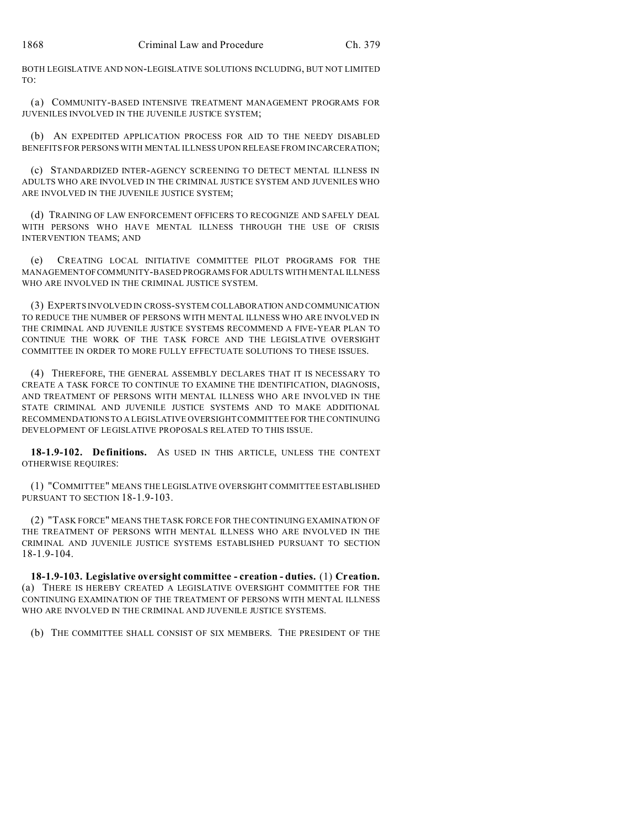BOTH LEGISLATIVE AND NON-LEGISLATIVE SOLUTIONS INCLUDING, BUT NOT LIMITED TO:

(a) COMMUNITY-BASED INTENSIVE TREATMENT MANAGEMENT PROGRAMS FOR JUVENILES INVOLVED IN THE JUVENILE JUSTICE SYSTEM;

(b) AN EXPEDITED APPLICATION PROCESS FOR AID TO THE NEEDY DISABLED BENEFITS FOR PERSONS WITH MENTAL ILLNESS UPON RELEASE FROM INCARCERATION;

(c) STANDARDIZED INTER-AGENCY SCREENING TO DETECT MENTAL ILLNESS IN ADULTS WHO ARE INVOLVED IN THE CRIMINAL JUSTICE SYSTEM AND JUVENILES WHO ARE INVOLVED IN THE JUVENILE JUSTICE SYSTEM;

(d) TRAINING OF LAW ENFORCEMENT OFFICERS TO RECOGNIZE AND SAFELY DEAL WITH PERSONS WHO HAVE MENTAL ILLNESS THROUGH THE USE OF CRISIS INTERVENTION TEAMS; AND

(e) CREATING LOCAL INITIATIVE COMMITTEE PILOT PROGRAMS FOR THE MANAGEMENTOFCOMMUNITY-BASED PROGRAMS FOR ADULTS WITH MENTAL ILLNESS WHO ARE INVOLVED IN THE CRIMINAL JUSTICE SYSTEM.

(3) EXPERTS INVOLVED IN CROSS-SYSTEM COLLABORATION AND COMMUNICATION TO REDUCE THE NUMBER OF PERSONS WITH MENTAL ILLNESS WHO ARE INVOLVED IN THE CRIMINAL AND JUVENILE JUSTICE SYSTEMS RECOMMEND A FIVE-YEAR PLAN TO CONTINUE THE WORK OF THE TASK FORCE AND THE LEGISLATIVE OVERSIGHT COMMITTEE IN ORDER TO MORE FULLY EFFECTUATE SOLUTIONS TO THESE ISSUES.

(4) THEREFORE, THE GENERAL ASSEMBLY DECLARES THAT IT IS NECESSARY TO CREATE A TASK FORCE TO CONTINUE TO EXAMINE THE IDENTIFICATION, DIAGNOSIS, AND TREATMENT OF PERSONS WITH MENTAL ILLNESS WHO ARE INVOLVED IN THE STATE CRIMINAL AND JUVENILE JUSTICE SYSTEMS AND TO MAKE ADDITIONAL RECOMMENDATIONS TO A LEGISLATIVE OVERSIGHT COMMITTEE FOR THE CONTINUING DEVELOPMENT OF LEGISLATIVE PROPOSALS RELATED TO THIS ISSUE.

**18-1.9-102. Definitions.** AS USED IN THIS ARTICLE, UNLESS THE CONTEXT OTHERWISE REQUIRES:

(1) "COMMITTEE" MEANS THE LEGISLATIVE OVERSIGHT COMMITTEE ESTABLISHED PURSUANT TO SECTION 18-1.9-103.

(2) "TASK FORCE" MEANS THE TASK FORCE FOR THE CONTINUING EXAMINATION OF THE TREATMENT OF PERSONS WITH MENTAL ILLNESS WHO ARE INVOLVED IN THE CRIMINAL AND JUVENILE JUSTICE SYSTEMS ESTABLISHED PURSUANT TO SECTION 18-1.9-104.

**18-1.9-103. Legislative oversight committee - creation - duties.** (1) **Creation.** (a) THERE IS HEREBY CREATED A LEGISLATIVE OVERSIGHT COMMITTEE FOR THE CONTINUING EXAMINATION OF THE TREATMENT OF PERSONS WITH MENTAL ILLNESS WHO ARE INVOLVED IN THE CRIMINAL AND JUVENILE JUSTICE SYSTEMS.

(b) THE COMMITTEE SHALL CONSIST OF SIX MEMBERS. THE PRESIDENT OF THE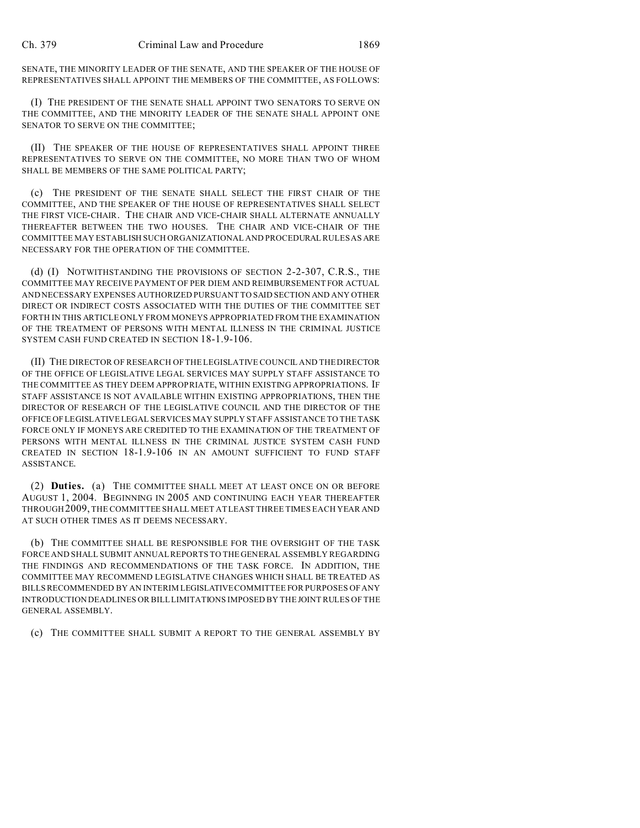SENATE, THE MINORITY LEADER OF THE SENATE, AND THE SPEAKER OF THE HOUSE OF REPRESENTATIVES SHALL APPOINT THE MEMBERS OF THE COMMITTEE, AS FOLLOWS:

(I) THE PRESIDENT OF THE SENATE SHALL APPOINT TWO SENATORS TO SERVE ON THE COMMITTEE, AND THE MINORITY LEADER OF THE SENATE SHALL APPOINT ONE SENATOR TO SERVE ON THE COMMITTEE;

(II) THE SPEAKER OF THE HOUSE OF REPRESENTATIVES SHALL APPOINT THREE REPRESENTATIVES TO SERVE ON THE COMMITTEE, NO MORE THAN TWO OF WHOM SHALL BE MEMBERS OF THE SAME POLITICAL PARTY;

(c) THE PRESIDENT OF THE SENATE SHALL SELECT THE FIRST CHAIR OF THE COMMITTEE, AND THE SPEAKER OF THE HOUSE OF REPRESENTATIVES SHALL SELECT THE FIRST VICE-CHAIR. THE CHAIR AND VICE-CHAIR SHALL ALTERNATE ANNUALLY THEREAFTER BETWEEN THE TWO HOUSES. THE CHAIR AND VICE-CHAIR OF THE COMMITTEE MAY ESTABLISH SUCH ORGANIZATIONAL AND PROCEDURAL RULES AS ARE NECESSARY FOR THE OPERATION OF THE COMMITTEE.

(d) (I) NOTWITHSTANDING THE PROVISIONS OF SECTION 2-2-307, C.R.S., THE COMMITTEE MAY RECEIVE PAYMENT OF PER DIEM AND REIMBURSEMENT FOR ACTUAL AND NECESSARY EXPENSES AUTHORIZED PURSUANT TO SAID SECTION AND ANY OTHER DIRECT OR INDIRECT COSTS ASSOCIATED WITH THE DUTIES OF THE COMMITTEE SET FORTH IN THIS ARTICLE ONLY FROM MONEYS APPROPRIATED FROM THE EXAMINATION OF THE TREATMENT OF PERSONS WITH MENTAL ILLNESS IN THE CRIMINAL JUSTICE SYSTEM CASH FUND CREATED IN SECTION 18-1.9-106.

(II) THE DIRECTOR OF RESEARCH OF THE LEGISLATIVE COUNCIL AND THE DIRECTOR OF THE OFFICE OF LEGISLATIVE LEGAL SERVICES MAY SUPPLY STAFF ASSISTANCE TO THE COMMITTEE AS THEY DEEM APPROPRIATE, WITHIN EXISTING APPROPRIATIONS. IF STAFF ASSISTANCE IS NOT AVAILABLE WITHIN EXISTING APPROPRIATIONS, THEN THE DIRECTOR OF RESEARCH OF THE LEGISLATIVE COUNCIL AND THE DIRECTOR OF THE OFFICE OF LEGISLATIVELEGAL SERVICES MAY SUPPLY STAFF ASSISTANCE TO THE TASK FORCE ONLY IF MONEYS ARE CREDITED TO THE EXAMINATION OF THE TREATMENT OF PERSONS WITH MENTAL ILLNESS IN THE CRIMINAL JUSTICE SYSTEM CASH FUND CREATED IN SECTION 18-1.9-106 IN AN AMOUNT SUFFICIENT TO FUND STAFF ASSISTANCE.

(2) **Duties.** (a) THE COMMITTEE SHALL MEET AT LEAST ONCE ON OR BEFORE AUGUST 1, 2004. BEGINNING IN 2005 AND CONTINUING EACH YEAR THEREAFTER THROUGH2009, THE COMMITTEE SHALL MEET AT LEAST THREE TIMES EACH YEAR AND AT SUCH OTHER TIMES AS IT DEEMS NECESSARY.

(b) THE COMMITTEE SHALL BE RESPONSIBLE FOR THE OVERSIGHT OF THE TASK FORCE AND SHALL SUBMIT ANNUAL REPORTS TO THE GENERAL ASSEMBLY REGARDING THE FINDINGS AND RECOMMENDATIONS OF THE TASK FORCE. IN ADDITION, THE COMMITTEE MAY RECOMMEND LEGISLATIVE CHANGES WHICH SHALL BE TREATED AS BILLS RECOMMENDED BY AN INTERIM LEGISLATIVE COMMITTEE FOR PURPOSES OF ANY INTRODUCTION DEADLINES OR BILL LIMITATIONS IMPOSED BY THEJOINT RULES OF THE GENERAL ASSEMBLY.

(c) THE COMMITTEE SHALL SUBMIT A REPORT TO THE GENERAL ASSEMBLY BY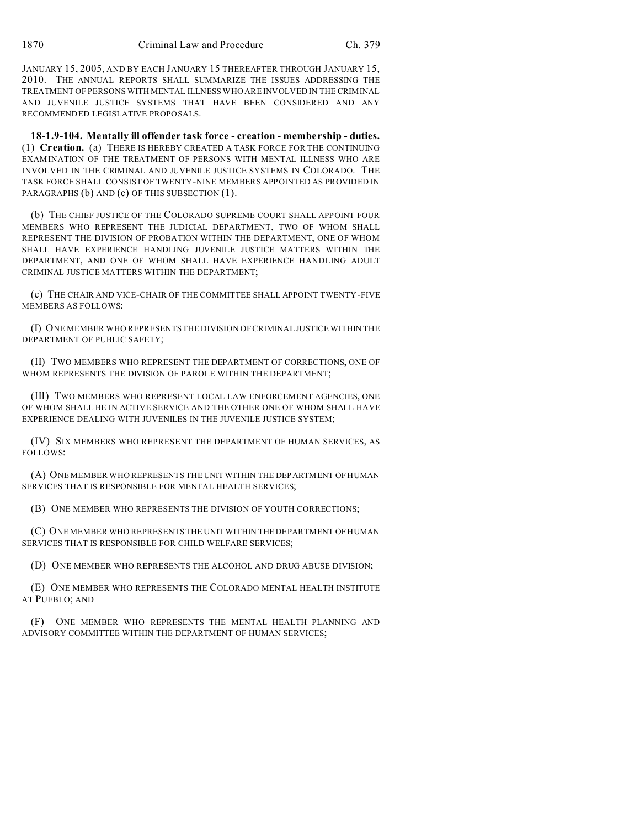JANUARY 15, 2005, AND BY EACH JANUARY 15 THEREAFTER THROUGH JANUARY 15, 2010. THE ANNUAL REPORTS SHALL SUMMARIZE THE ISSUES ADDRESSING THE TREATMENT OF PERSONS WITH MENTAL ILLNESS WHO ARE INVOLVED IN THE CRIMINAL AND JUVENILE JUSTICE SYSTEMS THAT HAVE BEEN CONSIDERED AND ANY RECOMMENDED LEGISLATIVE PROPOSALS.

**18-1.9-104. Mentally ill offender task force - creation - membership - duties.** (1) **Creation.** (a) THERE IS HEREBY CREATED A TASK FORCE FOR THE CONTINUING EXAMINATION OF THE TREATMENT OF PERSONS WITH MENTAL ILLNESS WHO ARE INVOLVED IN THE CRIMINAL AND JUVENILE JUSTICE SYSTEMS IN COLORADO. THE TASK FORCE SHALL CONSIST OF TWENTY-NINE MEMBERS APPOINTED AS PROVIDED IN PARAGRAPHS (b) AND (c) OF THIS SUBSECTION (1).

(b) THE CHIEF JUSTICE OF THE COLORADO SUPREME COURT SHALL APPOINT FOUR MEMBERS WHO REPRESENT THE JUDICIAL DEPARTMENT, TWO OF WHOM SHALL REPRESENT THE DIVISION OF PROBATION WITHIN THE DEPARTMENT, ONE OF WHOM SHALL HAVE EXPERIENCE HANDLING JUVENILE JUSTICE MATTERS WITHIN THE DEPARTMENT, AND ONE OF WHOM SHALL HAVE EXPERIENCE HANDLING ADULT CRIMINAL JUSTICE MATTERS WITHIN THE DEPARTMENT;

(c) THE CHAIR AND VICE-CHAIR OF THE COMMITTEE SHALL APPOINT TWENTY-FIVE MEMBERS AS FOLLOWS:

(I) ONE MEMBER WHO REPRESENTS THE DIVISION OF CRIMINAL JUSTICE WITHIN THE DEPARTMENT OF PUBLIC SAFETY;

(II) TWO MEMBERS WHO REPRESENT THE DEPARTMENT OF CORRECTIONS, ONE OF WHOM REPRESENTS THE DIVISION OF PAROLE WITHIN THE DEPARTMENT;

(III) TWO MEMBERS WHO REPRESENT LOCAL LAW ENFORCEMENT AGENCIES, ONE OF WHOM SHALL BE IN ACTIVE SERVICE AND THE OTHER ONE OF WHOM SHALL HAVE EXPERIENCE DEALING WITH JUVENILES IN THE JUVENILE JUSTICE SYSTEM;

(IV) SIX MEMBERS WHO REPRESENT THE DEPARTMENT OF HUMAN SERVICES, AS FOLLOWS:

(A) ONE MEMBER WHO REPRESENTS THEUNIT WITHIN THE DEPARTMENT OF HUMAN SERVICES THAT IS RESPONSIBLE FOR MENTAL HEALTH SERVICES;

(B) ONE MEMBER WHO REPRESENTS THE DIVISION OF YOUTH CORRECTIONS;

(C) ONE MEMBER WHO REPRESENTS THE UNIT WITHIN THE DEPARTMENT OF HUMAN SERVICES THAT IS RESPONSIBLE FOR CHILD WELFARE SERVICES;

(D) ONE MEMBER WHO REPRESENTS THE ALCOHOL AND DRUG ABUSE DIVISION;

(E) ONE MEMBER WHO REPRESENTS THE COLORADO MENTAL HEALTH INSTITUTE AT PUEBLO; AND

(F) ONE MEMBER WHO REPRESENTS THE MENTAL HEALTH PLANNING AND ADVISORY COMMITTEE WITHIN THE DEPARTMENT OF HUMAN SERVICES;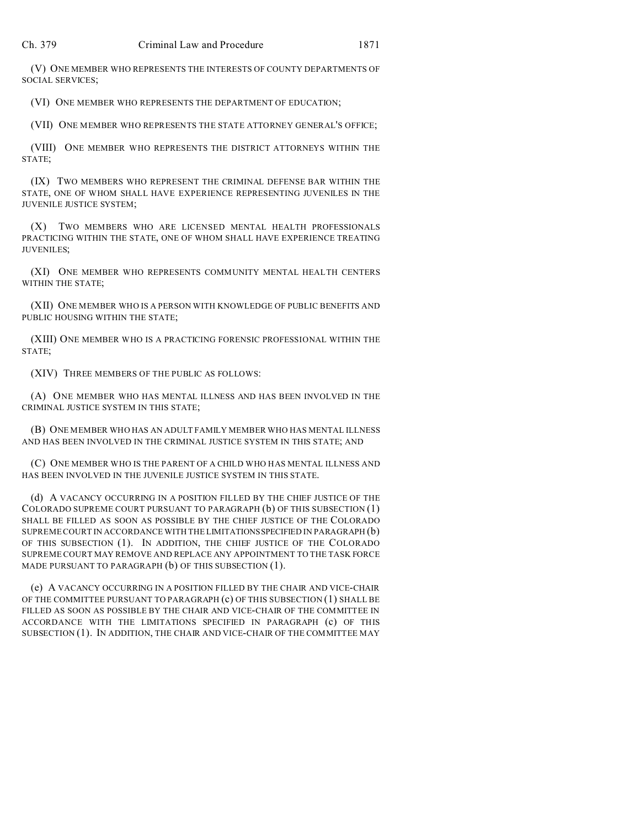(V) ONE MEMBER WHO REPRESENTS THE INTERESTS OF COUNTY DEPARTMENTS OF SOCIAL SERVICES;

(VI) ONE MEMBER WHO REPRESENTS THE DEPARTMENT OF EDUCATION;

(VII) ONE MEMBER WHO REPRESENTS THE STATE ATTORNEY GENERAL'S OFFICE;

(VIII) ONE MEMBER WHO REPRESENTS THE DISTRICT ATTORNEYS WITHIN THE STATE;

(IX) TWO MEMBERS WHO REPRESENT THE CRIMINAL DEFENSE BAR WITHIN THE STATE, ONE OF WHOM SHALL HAVE EXPERIENCE REPRESENTING JUVENILES IN THE JUVENILE JUSTICE SYSTEM;

(X) TWO MEMBERS WHO ARE LICENSED MENTAL HEALTH PROFESSIONALS PRACTICING WITHIN THE STATE, ONE OF WHOM SHALL HAVE EXPERIENCE TREATING JUVENILES;

(XI) ONE MEMBER WHO REPRESENTS COMMUNITY MENTAL HEALTH CENTERS WITHIN THE STATE;

(XII) ONE MEMBER WHO IS A PERSON WITH KNOWLEDGE OF PUBLIC BENEFITS AND PUBLIC HOUSING WITHIN THE STATE;

(XIII) ONE MEMBER WHO IS A PRACTICING FORENSIC PROFESSIONAL WITHIN THE STATE;

(XIV) THREE MEMBERS OF THE PUBLIC AS FOLLOWS:

(A) ONE MEMBER WHO HAS MENTAL ILLNESS AND HAS BEEN INVOLVED IN THE CRIMINAL JUSTICE SYSTEM IN THIS STATE;

(B) ONE MEMBER WHO HAS AN ADULT FAMILY MEMBER WHO HAS MENTAL ILLNESS AND HAS BEEN INVOLVED IN THE CRIMINAL JUSTICE SYSTEM IN THIS STATE; AND

(C) ONE MEMBER WHO IS THE PARENT OF A CHILD WHO HAS MENTAL ILLNESS AND HAS BEEN INVOLVED IN THE JUVENILE JUSTICE SYSTEM IN THIS STATE.

(d) A VACANCY OCCURRING IN A POSITION FILLED BY THE CHIEF JUSTICE OF THE COLORADO SUPREME COURT PURSUANT TO PARAGRAPH (b) OF THIS SUBSECTION (1) SHALL BE FILLED AS SOON AS POSSIBLE BY THE CHIEF JUSTICE OF THE COLORADO SUPREME COURT IN ACCORDANCE WITH THE LIMITATIONSSPECIFIED IN PARAGRAPH (b) OF THIS SUBSECTION (1). IN ADDITION, THE CHIEF JUSTICE OF THE COLORADO SUPREME COURT MAY REMOVE AND REPLACE ANY APPOINTMENT TO THE TASK FORCE MADE PURSUANT TO PARAGRAPH (b) OF THIS SUBSECTION (1).

(e) A VACANCY OCCURRING IN A POSITION FILLED BY THE CHAIR AND VICE-CHAIR OF THE COMMITTEE PURSUANT TO PARAGRAPH (c) OF THIS SUBSECTION (1) SHALL BE FILLED AS SOON AS POSSIBLE BY THE CHAIR AND VICE-CHAIR OF THE COMMITTEE IN ACCORDANCE WITH THE LIMITATIONS SPECIFIED IN PARAGRAPH (c) OF THIS SUBSECTION (1). IN ADDITION, THE CHAIR AND VICE-CHAIR OF THE COMMITTEE MAY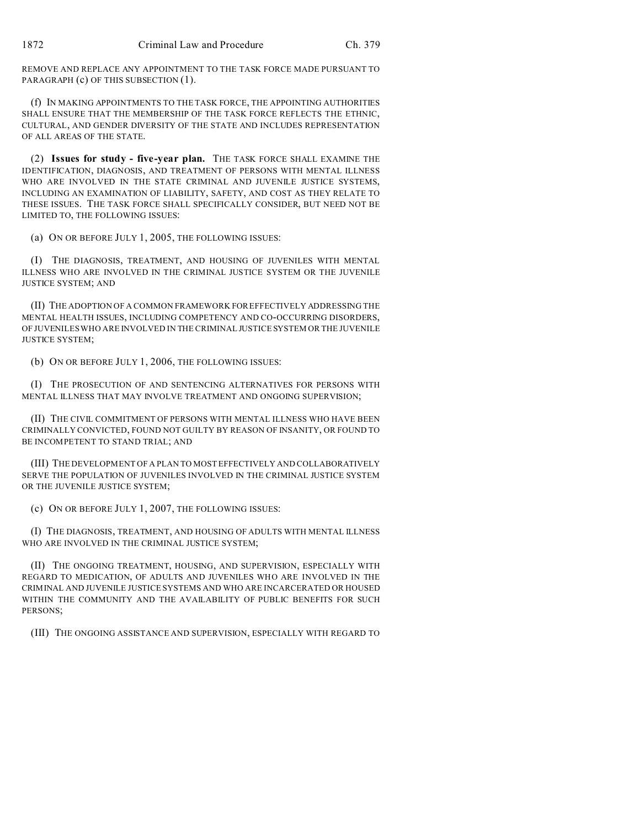REMOVE AND REPLACE ANY APPOINTMENT TO THE TASK FORCE MADE PURSUANT TO PARAGRAPH (c) OF THIS SUBSECTION (1).

(f) IN MAKING APPOINTMENTS TO THE TASK FORCE, THE APPOINTING AUTHORITIES SHALL ENSURE THAT THE MEMBERSHIP OF THE TASK FORCE REFLECTS THE ETHNIC, CULTURAL, AND GENDER DIVERSITY OF THE STATE AND INCLUDES REPRESENTATION OF ALL AREAS OF THE STATE.

(2) **Issues for study - five-year plan.** THE TASK FORCE SHALL EXAMINE THE IDENTIFICATION, DIAGNOSIS, AND TREATMENT OF PERSONS WITH MENTAL ILLNESS WHO ARE INVOLVED IN THE STATE CRIMINAL AND JUVENILE JUSTICE SYSTEMS, INCLUDING AN EXAMINATION OF LIABILITY, SAFETY, AND COST AS THEY RELATE TO THESE ISSUES. THE TASK FORCE SHALL SPECIFICALLY CONSIDER, BUT NEED NOT BE LIMITED TO, THE FOLLOWING ISSUES:

(a) ON OR BEFORE JULY 1, 2005, THE FOLLOWING ISSUES:

(I) THE DIAGNOSIS, TREATMENT, AND HOUSING OF JUVENILES WITH MENTAL ILLNESS WHO ARE INVOLVED IN THE CRIMINAL JUSTICE SYSTEM OR THE JUVENILE JUSTICE SYSTEM; AND

(II) THE ADOPTION OF A COMMON FRAMEWORK FOR EFFECTIVELY ADDRESSING THE MENTAL HEALTH ISSUES, INCLUDING COMPETENCY AND CO-OCCURRING DISORDERS, OF JUVENILES WHO ARE INVOLVED IN THE CRIMINAL JUSTICE SYSTEM OR THE JUVENILE JUSTICE SYSTEM;

(b) ON OR BEFORE JULY 1, 2006, THE FOLLOWING ISSUES:

(I) THE PROSECUTION OF AND SENTENCING ALTERNATIVES FOR PERSONS WITH MENTAL ILLNESS THAT MAY INVOLVE TREATMENT AND ONGOING SUPERVISION;

(II) THE CIVIL COMMITMENT OF PERSONS WITH MENTAL ILLNESS WHO HAVE BEEN CRIMINALLY CONVICTED, FOUND NOT GUILTY BY REASON OF INSANITY, OR FOUND TO BE INCOMPETENT TO STAND TRIAL; AND

(III) THE DEVELOPMENT OF A PLAN TO MOST EFFECTIVELY AND COLLABORATIVELY SERVE THE POPULATION OF JUVENILES INVOLVED IN THE CRIMINAL JUSTICE SYSTEM OR THE JUVENILE JUSTICE SYSTEM:

(c) ON OR BEFORE JULY 1, 2007, THE FOLLOWING ISSUES:

(I) THE DIAGNOSIS, TREATMENT, AND HOUSING OF ADULTS WITH MENTAL ILLNESS WHO ARE INVOLVED IN THE CRIMINAL JUSTICE SYSTEM;

(II) THE ONGOING TREATMENT, HOUSING, AND SUPERVISION, ESPECIALLY WITH REGARD TO MEDICATION, OF ADULTS AND JUVENILES WHO ARE INVOLVED IN THE CRIMINAL AND JUVENILE JUSTICE SYSTEMS AND WHO ARE INCARCERATED OR HOUSED WITHIN THE COMMUNITY AND THE AVAILABILITY OF PUBLIC BENEFITS FOR SUCH PERSONS;

(III) THE ONGOING ASSISTANCE AND SUPERVISION, ESPECIALLY WITH REGARD TO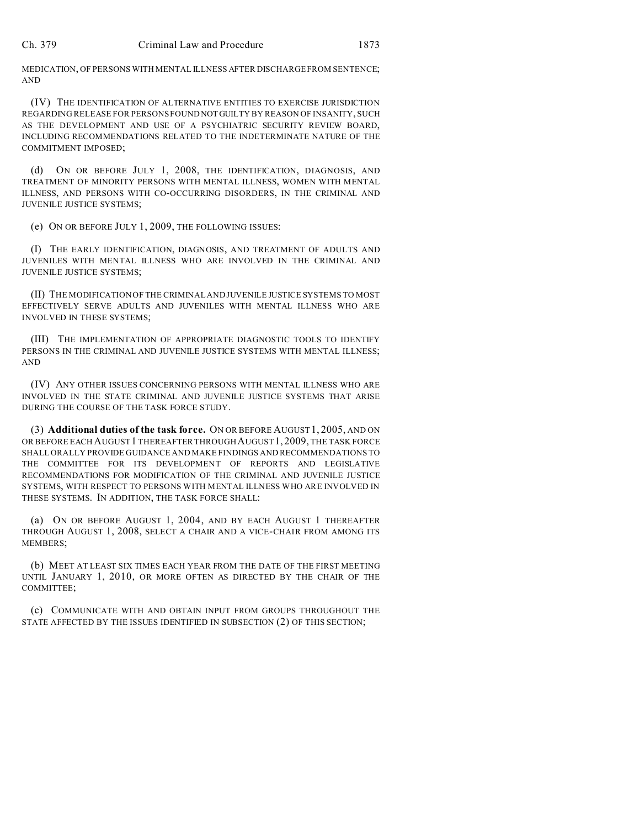MEDICATION, OF PERSONS WITH MENTAL ILLNESS AFTER DISCHARGE FROM SENTENCE; AND

(IV) THE IDENTIFICATION OF ALTERNATIVE ENTITIES TO EXERCISE JURISDICTION REGARDING RELEASE FOR PERSONS FOUND NOTGUILTY BY REASON OF INSANITY, SUCH AS THE DEVELOPMENT AND USE OF A PSYCHIATRIC SECURITY REVIEW BOARD, INCLUDING RECOMMENDATIONS RELATED TO THE INDETERMINATE NATURE OF THE COMMITMENT IMPOSED;

(d) ON OR BEFORE JULY 1, 2008, THE IDENTIFICATION, DIAGNOSIS, AND TREATMENT OF MINORITY PERSONS WITH MENTAL ILLNESS, WOMEN WITH MENTAL ILLNESS, AND PERSONS WITH CO-OCCURRING DISORDERS, IN THE CRIMINAL AND JUVENILE JUSTICE SYSTEMS;

(e) ON OR BEFORE JULY 1, 2009, THE FOLLOWING ISSUES:

(I) THE EARLY IDENTIFICATION, DIAGNOSIS, AND TREATMENT OF ADULTS AND JUVENILES WITH MENTAL ILLNESS WHO ARE INVOLVED IN THE CRIMINAL AND JUVENILE JUSTICE SYSTEMS;

(II) THE MODIFICATION OF THE CRIMINAL AND JUVENILE JUSTICE SYSTEMS TO MOST EFFECTIVELY SERVE ADULTS AND JUVENILES WITH MENTAL ILLNESS WHO ARE INVOLVED IN THESE SYSTEMS;

(III) THE IMPLEMENTATION OF APPROPRIATE DIAGNOSTIC TOOLS TO IDENTIFY PERSONS IN THE CRIMINAL AND JUVENILE JUSTICE SYSTEMS WITH MENTAL ILLNESS; AND

(IV) ANY OTHER ISSUES CONCERNING PERSONS WITH MENTAL ILLNESS WHO ARE INVOLVED IN THE STATE CRIMINAL AND JUVENILE JUSTICE SYSTEMS THAT ARISE DURING THE COURSE OF THE TASK FORCE STUDY.

(3) **Additional duties of the task force.** ON OR BEFORE AUGUST 1, 2005, AND ON OR BEFORE EACH AUGUST 1 THEREAFTER THROUGH AUGUST 1, 2009, THE TASK FORCE SHALL ORALLY PROVIDE GUIDANCE AND MAKE FINDINGS AND RECOMMENDATIONS TO THE COMMITTEE FOR ITS DEVELOPMENT OF REPORTS AND LEGISLATIVE RECOMMENDATIONS FOR MODIFICATION OF THE CRIMINAL AND JUVENILE JUSTICE SYSTEMS, WITH RESPECT TO PERSONS WITH MENTAL ILLNESS WHO ARE INVOLVED IN THESE SYSTEMS. IN ADDITION, THE TASK FORCE SHALL:

(a) ON OR BEFORE AUGUST 1, 2004, AND BY EACH AUGUST 1 THEREAFTER THROUGH AUGUST 1, 2008, SELECT A CHAIR AND A VICE-CHAIR FROM AMONG ITS MEMBERS;

(b) MEET AT LEAST SIX TIMES EACH YEAR FROM THE DATE OF THE FIRST MEETING UNTIL JANUARY 1, 2010, OR MORE OFTEN AS DIRECTED BY THE CHAIR OF THE COMMITTEE;

(c) COMMUNICATE WITH AND OBTAIN INPUT FROM GROUPS THROUGHOUT THE STATE AFFECTED BY THE ISSUES IDENTIFIED IN SUBSECTION (2) OF THIS SECTION;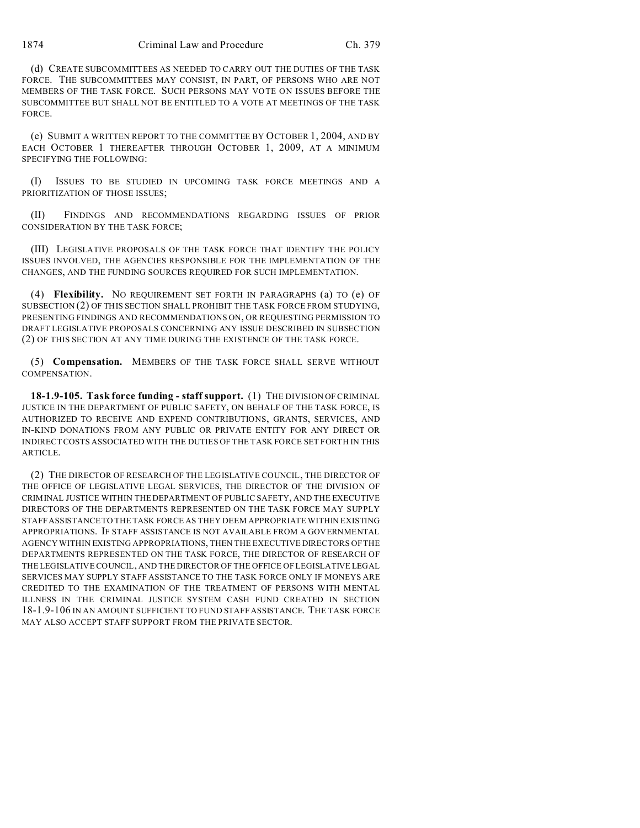(d) CREATE SUBCOMMITTEES AS NEEDED TO CARRY OUT THE DUTIES OF THE TASK FORCE. THE SUBCOMMITTEES MAY CONSIST, IN PART, OF PERSONS WHO ARE NOT MEMBERS OF THE TASK FORCE. SUCH PERSONS MAY VOTE ON ISSUES BEFORE THE SUBCOMMITTEE BUT SHALL NOT BE ENTITLED TO A VOTE AT MEETINGS OF THE TASK FORCE.

(e) SUBMIT A WRITTEN REPORT TO THE COMMITTEE BY OCTOBER 1, 2004, AND BY EACH OCTOBER 1 THEREAFTER THROUGH OCTOBER 1, 2009, AT A MINIMUM SPECIFYING THE FOLLOWING:

(I) ISSUES TO BE STUDIED IN UPCOMING TASK FORCE MEETINGS AND A PRIORITIZATION OF THOSE ISSUES;

(II) FINDINGS AND RECOMMENDATIONS REGARDING ISSUES OF PRIOR CONSIDERATION BY THE TASK FORCE;

(III) LEGISLATIVE PROPOSALS OF THE TASK FORCE THAT IDENTIFY THE POLICY ISSUES INVOLVED, THE AGENCIES RESPONSIBLE FOR THE IMPLEMENTATION OF THE CHANGES, AND THE FUNDING SOURCES REQUIRED FOR SUCH IMPLEMENTATION.

(4) **Flexibility.** NO REQUIREMENT SET FORTH IN PARAGRAPHS (a) TO (e) OF SUBSECTION (2) OF THIS SECTION SHALL PROHIBIT THE TASK FORCE FROM STUDYING, PRESENTING FINDINGS AND RECOMMENDATIONS ON, OR REQUESTING PERMISSION TO DRAFT LEGISLATIVE PROPOSALS CONCERNING ANY ISSUE DESCRIBED IN SUBSECTION (2) OF THIS SECTION AT ANY TIME DURING THE EXISTENCE OF THE TASK FORCE.

(5) **Compensation.** MEMBERS OF THE TASK FORCE SHALL SERVE WITHOUT COMPENSATION.

**18-1.9-105. Task force funding - staff support.** (1) THE DIVISION OF CRIMINAL JUSTICE IN THE DEPARTMENT OF PUBLIC SAFETY, ON BEHALF OF THE TASK FORCE, IS AUTHORIZED TO RECEIVE AND EXPEND CONTRIBUTIONS, GRANTS, SERVICES, AND IN-KIND DONATIONS FROM ANY PUBLIC OR PRIVATE ENTITY FOR ANY DIRECT OR INDIRECT COSTS ASSOCIATED WITH THE DUTIES OF THE TASK FORCE SET FORTH IN THIS ARTICLE.

(2) THE DIRECTOR OF RESEARCH OF THE LEGISLATIVE COUNCIL, THE DIRECTOR OF THE OFFICE OF LEGISLATIVE LEGAL SERVICES, THE DIRECTOR OF THE DIVISION OF CRIMINAL JUSTICE WITHIN THE DEPARTMENT OF PUBLIC SAFETY, AND THE EXECUTIVE DIRECTORS OF THE DEPARTMENTS REPRESENTED ON THE TASK FORCE MAY SUPPLY STAFF ASSISTANCE TO THE TASK FORCE AS THEY DEEM APPROPRIATE WITHIN EXISTING APPROPRIATIONS. IF STAFF ASSISTANCE IS NOT AVAILABLE FROM A GOVERNMENTAL AGENCY WITHIN EXISTING APPROPRIATIONS, THEN THE EXECUTIVE DIRECTORS OF THE DEPARTMENTS REPRESENTED ON THE TASK FORCE, THE DIRECTOR OF RESEARCH OF THE LEGISLATIVE COUNCIL, AND THE DIRECTOR OF THE OFFICE OF LEGISLATIVE LEGAL SERVICES MAY SUPPLY STAFF ASSISTANCE TO THE TASK FORCE ONLY IF MONEYS ARE CREDITED TO THE EXAMINATION OF THE TREATMENT OF PERSONS WITH MENTAL ILLNESS IN THE CRIMINAL JUSTICE SYSTEM CASH FUND CREATED IN SECTION 18-1.9-106 IN AN AMOUNT SUFFICIENT TO FUND STAFF ASSISTANCE. THE TASK FORCE MAY ALSO ACCEPT STAFF SUPPORT FROM THE PRIVATE SECTOR.